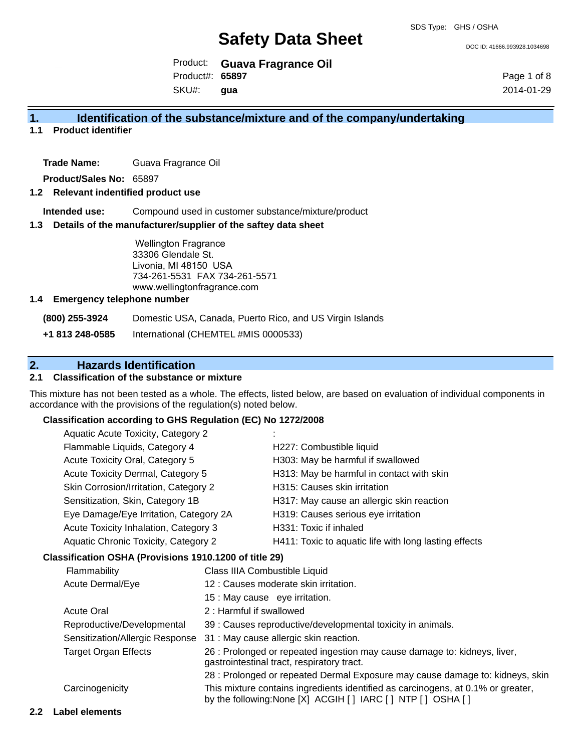DOC ID: 41666.993928.1034698

Product: **Guava Fragrance Oil** SKU#: Product#: **65897 gua**

Page 1 of 8 2014-01-29

# **1. Identification of the substance/mixture and of the company/undertaking**

### **1.1 Product identifier**

**Trade Name:** Guava Fragrance Oil

**Product/Sales No:** 65897

#### **1.2 Relevant indentified product use**

**Intended use:** Compound used in customer substance/mixture/product

#### **1.3 Details of the manufacturer/supplier of the saftey data sheet**

Wellington Fragrance 33306 Glendale St. Livonia, MI 48150 USA 734-261-5531 FAX 734-261-5571 www.wellingtonfragrance.com

#### **1.4 Emergency telephone number**

**(800) 255-3924** Domestic USA, Canada, Puerto Rico, and US Virgin Islands

**+1 813 248-0585** International (CHEMTEL #MIS 0000533)

# **2. Hazards Identification**

### **2.1 Classification of the substance or mixture**

This mixture has not been tested as a whole. The effects, listed below, are based on evaluation of individual components in accordance with the provisions of the regulation(s) noted below.

#### **Classification according to GHS Regulation (EC) No 1272/2008**

| <b>Aquatic Acute Toxicity, Category 2</b> |                                                       |
|-------------------------------------------|-------------------------------------------------------|
| Flammable Liquids, Category 4             | H227: Combustible liquid                              |
| Acute Toxicity Oral, Category 5           | H303: May be harmful if swallowed                     |
| Acute Toxicity Dermal, Category 5         | H313: May be harmful in contact with skin             |
| Skin Corrosion/Irritation, Category 2     | H315: Causes skin irritation                          |
| Sensitization, Skin, Category 1B          | H317: May cause an allergic skin reaction             |
| Eye Damage/Eye Irritation, Category 2A    | H319: Causes serious eye irritation                   |
| Acute Toxicity Inhalation, Category 3     | H331: Toxic if inhaled                                |
| Aquatic Chronic Toxicity, Category 2      | H411: Toxic to aquatic life with long lasting effects |
|                                           |                                                       |

#### **Classification OSHA (Provisions 1910.1200 of title 29)**

| Flammability                    | Class IIIA Combustible Liquid                                                                                                                      |
|---------------------------------|----------------------------------------------------------------------------------------------------------------------------------------------------|
| <b>Acute Dermal/Eye</b>         | 12 : Causes moderate skin irritation.                                                                                                              |
|                                 | 15 : May cause eye irritation.                                                                                                                     |
| <b>Acute Oral</b>               | 2: Harmful if swallowed                                                                                                                            |
| Reproductive/Developmental      | 39 : Causes reproductive/developmental toxicity in animals.                                                                                        |
| Sensitization/Allergic Response | 31 : May cause allergic skin reaction.                                                                                                             |
| <b>Target Organ Effects</b>     | 26 : Prolonged or repeated ingestion may cause damage to: kidneys, liver,<br>gastrointestinal tract, respiratory tract.                            |
|                                 | 28 : Prolonged or repeated Dermal Exposure may cause damage to: kidneys, skin                                                                      |
| Carcinogenicity                 | This mixture contains ingredients identified as carcinogens, at 0.1% or greater,<br>by the following: None [X] ACGIH [ ] IARC [ ] NTP [ ] OSHA [ ] |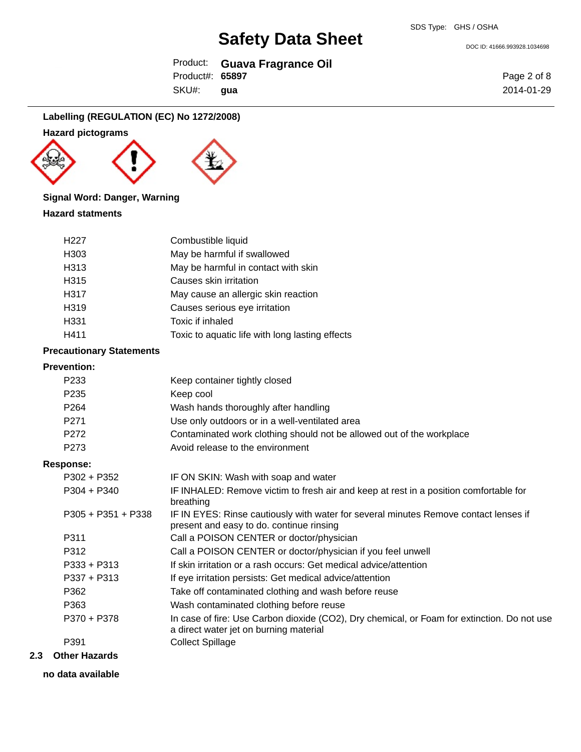DOC ID: 41666.993928.1034698

|                 | Product: Guava Fragrance Oil |
|-----------------|------------------------------|
| Product#: 65897 |                              |
| SKU#: gua       |                              |

Page 2 of 8 2014-01-29

# **Labelling (REGULATION (EC) No 1272/2008)**

# **Hazard pictograms**



# **Signal Word: Danger, Warning**

### **Hazard statments**

| H <sub>22</sub> 7 | Combustible liquid                              |
|-------------------|-------------------------------------------------|
| H303              | May be harmful if swallowed                     |
| H313              | May be harmful in contact with skin             |
| H315              | Causes skin irritation                          |
| H317              | May cause an allergic skin reaction             |
| H319              | Causes serious eye irritation                   |
| H331              | Toxic if inhaled                                |
| H411              | Toxic to aquatic life with long lasting effects |

#### **Precautionary Statements**

# **Prevention:**

| FICVEIIUUII.         |                                                                                                                                       |
|----------------------|---------------------------------------------------------------------------------------------------------------------------------------|
| P <sub>233</sub>     | Keep container tightly closed                                                                                                         |
| P <sub>235</sub>     | Keep cool                                                                                                                             |
| P <sub>264</sub>     | Wash hands thoroughly after handling                                                                                                  |
| P <sub>271</sub>     | Use only outdoors or in a well-ventilated area                                                                                        |
| P272                 | Contaminated work clothing should not be allowed out of the workplace                                                                 |
| P273                 | Avoid release to the environment                                                                                                      |
| <b>Response:</b>     |                                                                                                                                       |
| $P302 + P352$        | IF ON SKIN: Wash with soap and water                                                                                                  |
| $P304 + P340$        | IF INHALED: Remove victim to fresh air and keep at rest in a position comfortable for<br>breathing                                    |
| $P305 + P351 + P338$ | IF IN EYES: Rinse cautiously with water for several minutes Remove contact lenses if<br>present and easy to do. continue rinsing      |
| P311                 | Call a POISON CENTER or doctor/physician                                                                                              |
| P312                 | Call a POISON CENTER or doctor/physician if you feel unwell                                                                           |
| $P333 + P313$        | If skin irritation or a rash occurs: Get medical advice/attention                                                                     |
| $P337 + P313$        | If eye irritation persists: Get medical advice/attention                                                                              |
| P362                 | Take off contaminated clothing and wash before reuse                                                                                  |
| P363                 | Wash contaminated clothing before reuse                                                                                               |
| P370 + P378          | In case of fire: Use Carbon dioxide (CO2), Dry chemical, or Foam for extinction. Do not use<br>a direct water jet on burning material |
| P391                 | <b>Collect Spillage</b>                                                                                                               |
|                      |                                                                                                                                       |

### **2.3 Other Hazards**

**no data available**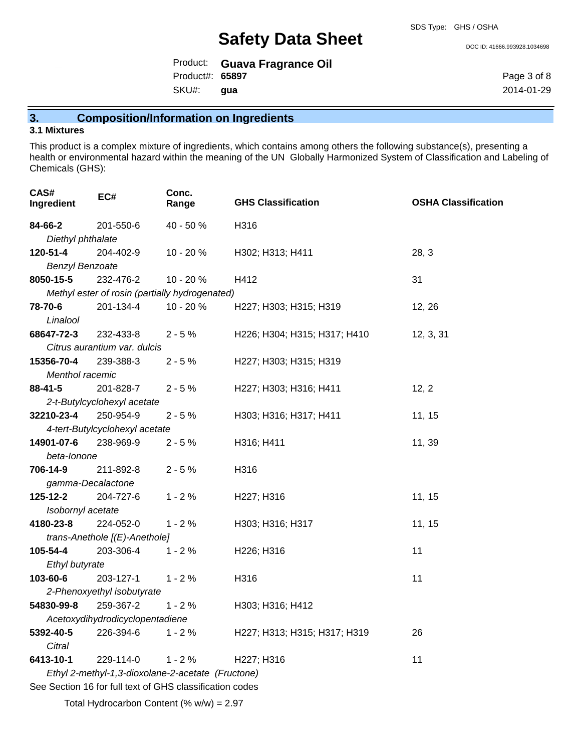DOC ID: 41666.993928.1034698

|                 | Product: Guava Fragrance Oil |
|-----------------|------------------------------|
| Product#: 65897 |                              |
| SKU#: gua       |                              |

Page 3 of 8 2014-01-29

# **3. Composition/Information on Ingredients**

# **3.1 Mixtures**

This product is a complex mixture of ingredients, which contains among others the following substance(s), presenting a health or environmental hazard within the meaning of the UN Globally Harmonized System of Classification and Labeling of Chemicals (GHS):

| CAS#<br>Ingredient     | EC#                                                      | Conc.<br>Range                                    | <b>GHS Classification</b>    | <b>OSHA Classification</b> |
|------------------------|----------------------------------------------------------|---------------------------------------------------|------------------------------|----------------------------|
| 84-66-2                | 201-550-6                                                | 40 - 50 %                                         | H316                         |                            |
| Diethyl phthalate      |                                                          |                                                   |                              |                            |
| 120-51-4               | 204-402-9                                                | 10 - 20 %                                         | H302; H313; H411             | 28, 3                      |
| <b>Benzyl Benzoate</b> |                                                          |                                                   |                              |                            |
| 8050-15-5              | 232-476-2                                                | 10 - 20 %                                         | H412                         | 31                         |
|                        |                                                          | Methyl ester of rosin (partially hydrogenated)    |                              |                            |
| 78-70-6                | 201-134-4                                                | 10 - 20 %                                         | H227; H303; H315; H319       | 12, 26                     |
| Linalool               |                                                          |                                                   |                              |                            |
| 68647-72-3             | 232-433-8                                                | $2 - 5%$                                          | H226; H304; H315; H317; H410 | 12, 3, 31                  |
|                        | Citrus aurantium var. dulcis                             |                                                   |                              |                            |
| 15356-70-4             | 239-388-3                                                | $2 - 5%$                                          | H227; H303; H315; H319       |                            |
| Menthol racemic        |                                                          |                                                   |                              |                            |
| 88-41-5                | 201-828-7                                                | $2 - 5%$                                          | H227; H303; H316; H411       | 12, 2                      |
|                        | 2-t-Butylcyclohexyl acetate                              |                                                   |                              |                            |
| 32210-23-4             | 250-954-9                                                | $2 - 5%$                                          | H303; H316; H317; H411       | 11, 15                     |
|                        | 4-tert-Butylcyclohexyl acetate                           |                                                   |                              |                            |
| 14901-07-6             | 238-969-9                                                | $2 - 5%$                                          | H316; H411                   | 11, 39                     |
| beta-lonone            |                                                          |                                                   |                              |                            |
| 706-14-9               | 211-892-8                                                | $2 - 5%$                                          | H316                         |                            |
| gamma-Decalactone      |                                                          |                                                   |                              |                            |
| 125-12-2               | 204-727-6                                                | $1 - 2%$                                          | H227; H316                   | 11, 15                     |
| Isobornyl acetate      |                                                          |                                                   |                              |                            |
| 4180-23-8              | 224-052-0                                                | $1 - 2%$                                          | H303; H316; H317             | 11, 15                     |
|                        | trans-Anethole [(E)-Anethole]                            |                                                   |                              |                            |
| 105-54-4               | 203-306-4                                                | $1 - 2%$                                          | H226; H316                   | 11                         |
| Ethyl butyrate         |                                                          |                                                   |                              |                            |
| 103-60-6               | 203-127-1                                                | $1 - 2%$                                          | H316                         | 11                         |
|                        | 2-Phenoxyethyl isobutyrate                               |                                                   |                              |                            |
| 54830-99-8             | 259-367-2                                                | $1 - 2%$                                          | H303; H316; H412             |                            |
|                        | Acetoxydihydrodicyclopentadiene                          |                                                   |                              |                            |
| 5392-40-5              | 226-394-6                                                | $1 - 2%$                                          | H227; H313; H315; H317; H319 | 26                         |
| Citral                 |                                                          |                                                   |                              |                            |
| 6413-10-1              | 229-114-0                                                | $1 - 2%$                                          | H227; H316                   | 11                         |
|                        |                                                          | Ethyl 2-methyl-1,3-dioxolane-2-acetate (Fructone) |                              |                            |
|                        | See Section 16 for full text of GHS classification codes |                                                   |                              |                            |

Total Hydrocarbon Content (%  $w/w$ ) = 2.97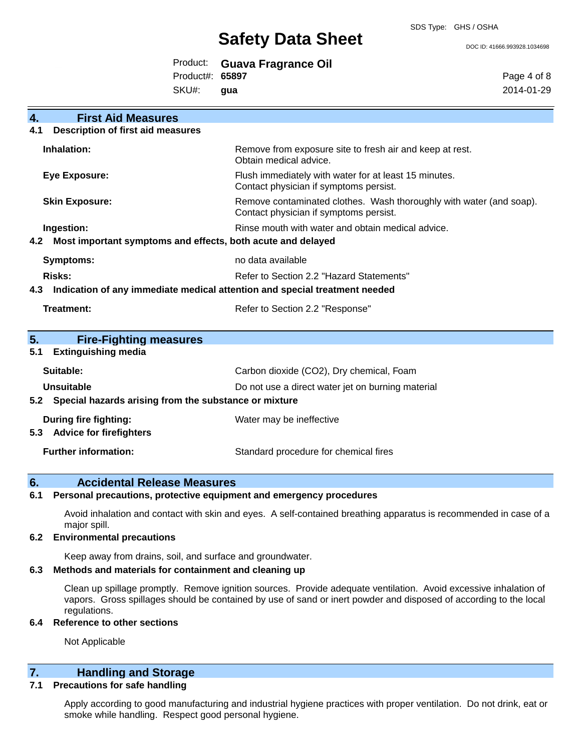DOC ID: 41666.993928.1034698

|                 | Product: Guava Fragrance Oil |
|-----------------|------------------------------|
| Product#: 65897 |                              |
| SKU#: gua       |                              |

Page 4 of 8 2014-01-29

| 4.                   | <b>First Aid Measures</b>                                                  |                                                                                                               |  |
|----------------------|----------------------------------------------------------------------------|---------------------------------------------------------------------------------------------------------------|--|
| 4.1                  | <b>Description of first aid measures</b>                                   |                                                                                                               |  |
|                      | Inhalation:                                                                | Remove from exposure site to fresh air and keep at rest.<br>Obtain medical advice.                            |  |
| <b>Eye Exposure:</b> |                                                                            | Flush immediately with water for at least 15 minutes.<br>Contact physician if symptoms persist.               |  |
|                      | <b>Skin Exposure:</b>                                                      | Remove contaminated clothes. Wash thoroughly with water (and soap).<br>Contact physician if symptoms persist. |  |
|                      | Ingestion:                                                                 | Rinse mouth with water and obtain medical advice.                                                             |  |
| 4.2                  | Most important symptoms and effects, both acute and delayed                |                                                                                                               |  |
|                      | Symptoms:                                                                  | no data available                                                                                             |  |
|                      | Risks:                                                                     | Refer to Section 2.2 "Hazard Statements"                                                                      |  |
| 4.3                  | Indication of any immediate medical attention and special treatment needed |                                                                                                               |  |
|                      | <b>Treatment:</b>                                                          | Refer to Section 2.2 "Response"                                                                               |  |
|                      |                                                                            |                                                                                                               |  |
| 5.                   | <b>Fire-Fighting measures</b>                                              |                                                                                                               |  |
| 5.1                  | <b>Extinguishing media</b>                                                 |                                                                                                               |  |
|                      | Suitable:                                                                  | Carbon dioxide (CO2), Dry chemical, Foam                                                                      |  |
|                      | Unsuitable                                                                 | Do not use a direct water jet on burning material                                                             |  |
| 5.2                  | Special hazards arising from the substance or mixture                      |                                                                                                               |  |
|                      | During fire fighting:                                                      | Water may be ineffective                                                                                      |  |
| 5.3                  | <b>Advice for firefighters</b>                                             |                                                                                                               |  |

### **6. Accidental Release Measures**

#### **6.1 Personal precautions, protective equipment and emergency procedures**

Avoid inhalation and contact with skin and eyes. A self-contained breathing apparatus is recommended in case of a major spill.

#### **6.2 Environmental precautions**

Keep away from drains, soil, and surface and groundwater.

### **6.3 Methods and materials for containment and cleaning up**

Clean up spillage promptly. Remove ignition sources. Provide adequate ventilation. Avoid excessive inhalation of vapors. Gross spillages should be contained by use of sand or inert powder and disposed of according to the local regulations.

### **6.4 Reference to other sections**

Not Applicable

# **7. Handling and Storage**

### **7.1 Precautions for safe handling**

Apply according to good manufacturing and industrial hygiene practices with proper ventilation. Do not drink, eat or smoke while handling. Respect good personal hygiene.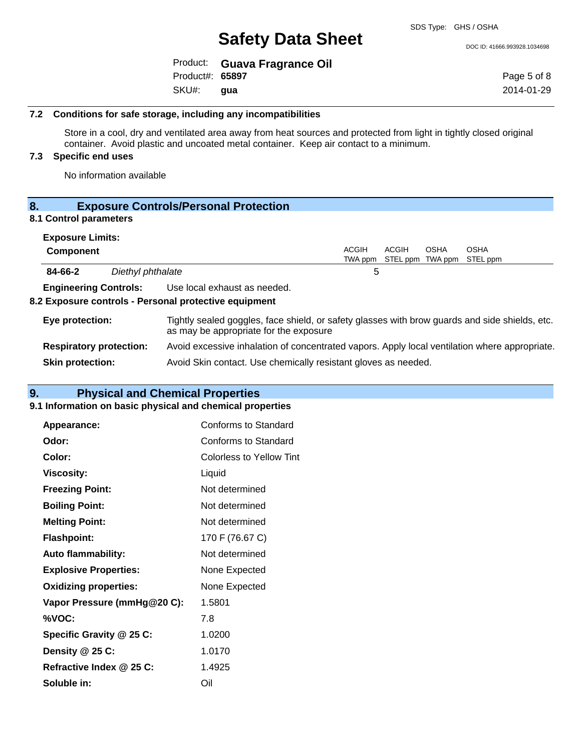DOC ID: 41666.993928.1034698

|                 | Product: Guava Fragrance Oil |
|-----------------|------------------------------|
| Product#: 65897 |                              |
| SKU#: gua       |                              |

Page 5 of 8 2014-01-29

#### **7.2 Conditions for safe storage, including any incompatibilities**

Store in a cool, dry and ventilated area away from heat sources and protected from light in tightly closed original container. Avoid plastic and uncoated metal container. Keep air contact to a minimum.

# **7.3 Specific end uses**

No information available

# **8. Exposure Controls/Personal Protection**

### **8.1 Control parameters**

| <b>Exposure Limits:</b>        |                   |                                                                                                                                          |                         |                           |             |                         |
|--------------------------------|-------------------|------------------------------------------------------------------------------------------------------------------------------------------|-------------------------|---------------------------|-------------|-------------------------|
| <b>Component</b>               |                   |                                                                                                                                          | <b>ACGIH</b><br>TWA ppm | ACGIH<br>STEL ppm TWA ppm | <b>OSHA</b> | <b>OSHA</b><br>STEL ppm |
| 84-66-2                        | Diethyl phthalate |                                                                                                                                          | 5                       |                           |             |                         |
| <b>Engineering Controls:</b>   |                   | Use local exhaust as needed.<br>8.2 Exposure controls - Personal protective equipment                                                    |                         |                           |             |                         |
| Eye protection:                |                   | Tightly sealed goggles, face shield, or safety glasses with brow guards and side shields, etc.<br>as may be appropriate for the exposure |                         |                           |             |                         |
| <b>Respiratory protection:</b> |                   | Avoid excessive inhalation of concentrated vapors. Apply local ventilation where appropriate.                                            |                         |                           |             |                         |
| <b>Skin protection:</b>        |                   | Avoid Skin contact. Use chemically resistant gloves as needed.                                                                           |                         |                           |             |                         |

# **9. Physical and Chemical Properties**

#### **9.1 Information on basic physical and chemical properties**

| <b>Appearance:</b>           | Conforms to Standard     |
|------------------------------|--------------------------|
| Odor:                        | Conforms to Standard     |
| Color:                       | Colorless to Yellow Tint |
| Viscosity:                   | Liquid                   |
| <b>Freezing Point:</b>       | Not determined           |
| <b>Boiling Point:</b>        | Not determined           |
| <b>Melting Point:</b>        | Not determined           |
| <b>Flashpoint:</b>           | 170 F (76.67 C)          |
| <b>Auto flammability:</b>    | Not determined           |
| <b>Explosive Properties:</b> | None Expected            |
| <b>Oxidizing properties:</b> | None Expected            |
| Vapor Pressure (mmHg@20 C):  | 1.5801                   |
| %VOC:                        | 7.8                      |
| Specific Gravity @ 25 C:     | 1.0200                   |
| Density $@25C$ :             | 1.0170                   |
| Refractive Index @ 25 C:     | 1.4925                   |
| Soluble in:                  | Oil                      |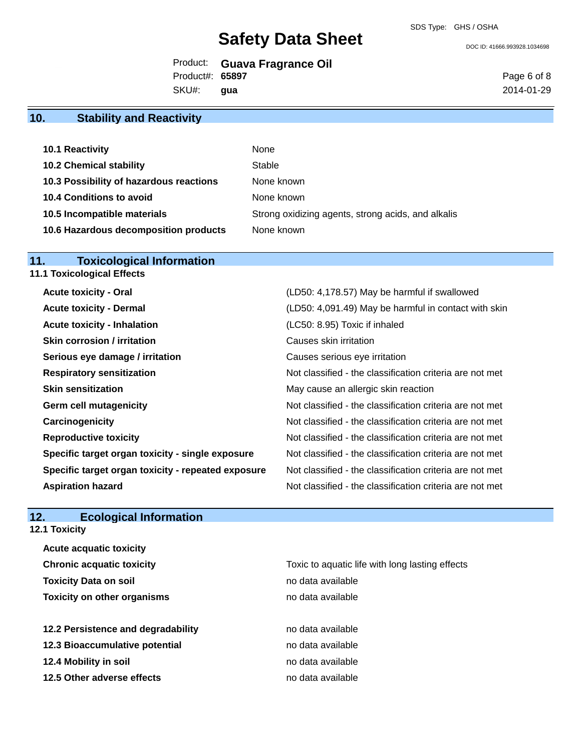SDS Type: GHS / OSHA

DOC ID: 41666.993928.1034698

|                 | Product: Guava Fragrance Oil |
|-----------------|------------------------------|
| Product#: 65897 |                              |
| SKU#: gua       |                              |

Page 6 of 8 2014-01-29

# **10. Stability and Reactivity**

| 10.1 Reactivity                         | None                                               |
|-----------------------------------------|----------------------------------------------------|
| <b>10.2 Chemical stability</b>          | Stable                                             |
| 10.3 Possibility of hazardous reactions | None known                                         |
| 10.4 Conditions to avoid                | None known                                         |
| 10.5 Incompatible materials             | Strong oxidizing agents, strong acids, and alkalis |
| 10.6 Hazardous decomposition products   | None known                                         |

# **11. Toxicological Information**

| <b>Acute toxicity - Oral</b>                       | (LD50: 4,178.57) May be harmful if swallowed             |
|----------------------------------------------------|----------------------------------------------------------|
| <b>Acute toxicity - Dermal</b>                     | (LD50: 4,091.49) May be harmful in contact with skin     |
| <b>Acute toxicity - Inhalation</b>                 | (LC50: 8.95) Toxic if inhaled                            |
| <b>Skin corrosion / irritation</b>                 | Causes skin irritation                                   |
| Serious eye damage / irritation                    | Causes serious eye irritation                            |
| <b>Respiratory sensitization</b>                   | Not classified - the classification criteria are not met |
| <b>Skin sensitization</b>                          | May cause an allergic skin reaction                      |
| <b>Germ cell mutagenicity</b>                      | Not classified - the classification criteria are not met |
| Carcinogenicity                                    | Not classified - the classification criteria are not met |
| <b>Reproductive toxicity</b>                       | Not classified - the classification criteria are not met |
| Specific target organ toxicity - single exposure   | Not classified - the classification criteria are not met |
| Specific target organ toxicity - repeated exposure | Not classified - the classification criteria are not met |
| <b>Aspiration hazard</b>                           | Not classified - the classification criteria are not met |

# **12. Ecological Information**

**12.1 Toxicity**

| <b>Acute acquatic toxicity</b>     |                                                 |
|------------------------------------|-------------------------------------------------|
| <b>Chronic acquatic toxicity</b>   | Toxic to aquatic life with long lasting effects |
| <b>Toxicity Data on soil</b>       | no data available                               |
| <b>Toxicity on other organisms</b> | no data available                               |
|                                    |                                                 |
| 12.2 Persistence and degradability | no data available                               |
| 12.3 Bioaccumulative potential     | no data available                               |
| 12.4 Mobility in soil              | no data available                               |
| 12.5 Other adverse effects         | no data available                               |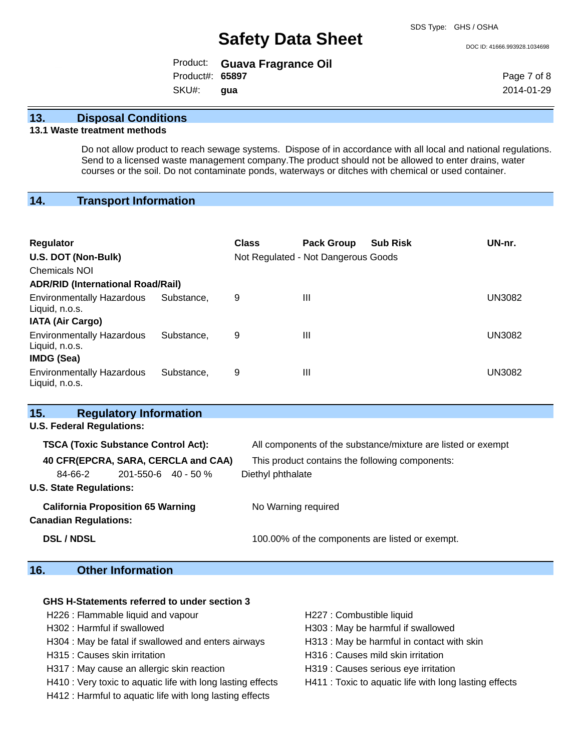DOC ID: 41666.993928.1034698

|                 | Product: Guava Fragrance Oil |
|-----------------|------------------------------|
| Product#: 65897 |                              |
| SKU#: gua       |                              |

Page 7 of 8 2014-01-29

### **13. Disposal Conditions**

#### **13.1 Waste treatment methods**

Do not allow product to reach sewage systems. Dispose of in accordance with all local and national regulations. Send to a licensed waste management company.The product should not be allowed to enter drains, water courses or the soil. Do not contaminate ponds, waterways or ditches with chemical or used container.

# **14. Transport Information**

| <b>Regulator</b><br>U.S. DOT (Non-Bulk)<br><b>Chemicals NOI</b><br><b>ADR/RID (International Road/Rail)</b> |            | <b>Class</b> | <b>Pack Group</b><br>Not Regulated - Not Dangerous Goods | <b>Sub Risk</b> | UN-nr. |
|-------------------------------------------------------------------------------------------------------------|------------|--------------|----------------------------------------------------------|-----------------|--------|
| <b>Environmentally Hazardous</b><br>Liquid, n.o.s.                                                          | Substance. | 9            | Ш                                                        |                 | UN3082 |
| <b>IATA (Air Cargo)</b><br><b>Environmentally Hazardous</b><br>Liquid, n.o.s.                               | Substance. | 9            | Ш                                                        |                 | UN3082 |
| <b>IMDG (Sea)</b><br><b>Environmentally Hazardous</b><br>Liquid, n.o.s.                                     | Substance. | 9            | Ш                                                        |                 | UN3082 |

| 15.<br><b>Regulatory Information</b>       |                                                              |
|--------------------------------------------|--------------------------------------------------------------|
| <b>U.S. Federal Regulations:</b>           |                                                              |
| <b>TSCA (Toxic Substance Control Act):</b> | All components of the substance/mixture are listed or exempt |
| 40 CFR(EPCRA, SARA, CERCLA and CAA)        | This product contains the following components:              |
| 84-66-2<br>$201 - 550 - 6$ 40 - 50 %       | Diethyl phthalate                                            |
| <b>U.S. State Regulations:</b>             |                                                              |
| <b>California Proposition 65 Warning</b>   | No Warning required                                          |
| <b>Canadian Regulations:</b>               |                                                              |
| <b>DSL / NDSL</b>                          | 100.00% of the components are listed or exempt.              |
|                                            |                                                              |

# **16. Other Information**

# **GHS H-Statements referred to under section 3** H226 : Flammable liquid and vapour **H227** : Combustible liquid H302 : Harmful if swallowed H303 : May be harmful if swallowed H304 : May be fatal if swallowed and enters airways H313 : May be harmful in contact with skin H315 : Causes skin irritation et al. (a) H316 : Causes mild skin irritation H317 : May cause an allergic skin reaction **H319** : Causes serious eye irritation H410 : Very toxic to aquatic life with long lasting effects H411 : Toxic to aquatic life with long lasting effects

- H412 : Harmful to aquatic life with long lasting effects
-